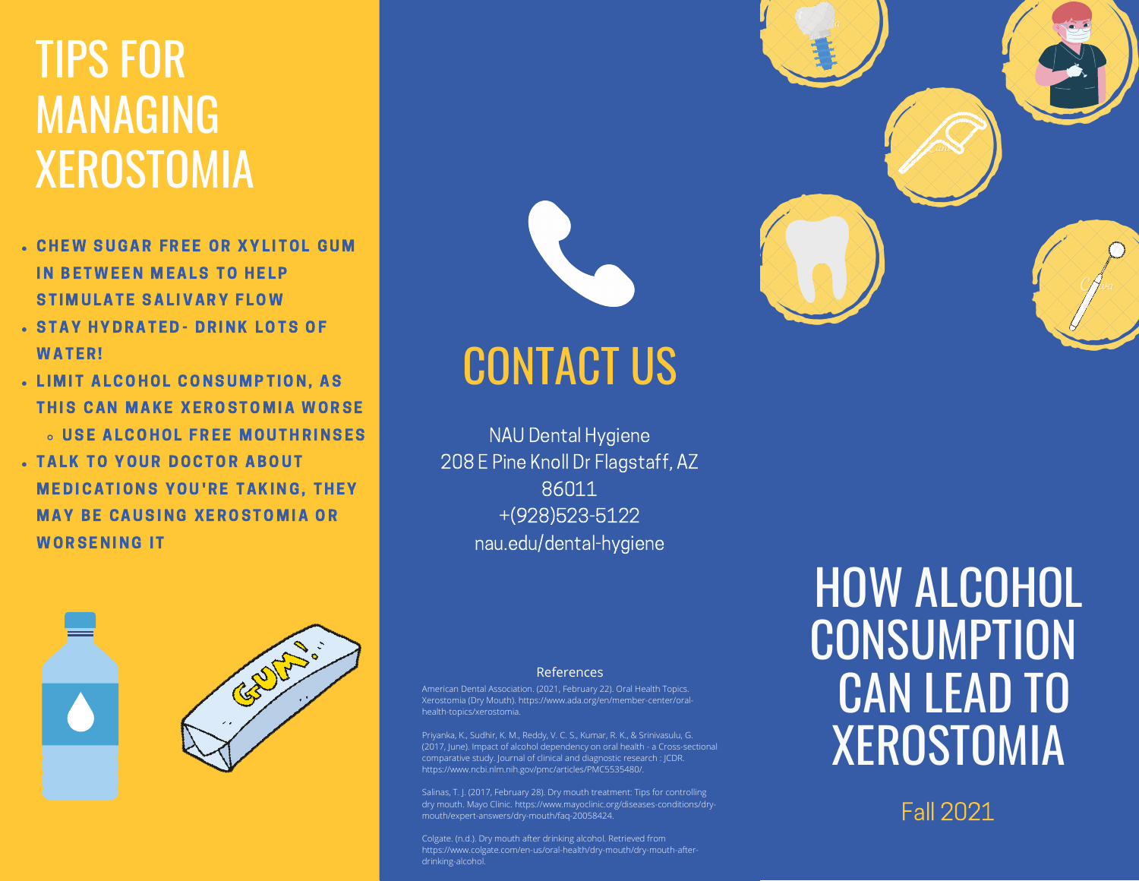# TIPS FOR MANAGING **XEROSTOMIA**

- **CHEW SUGAR FREE OR XYLITOL GUM** IN BETWEEN MEALS TO HELP STIMULATE SALIVARY FLOW
- **. STAY HYDRATED- DRINK LOTS OF WATFR!**
- . LIMIT ALCOHOL CONSUMPTION, AS THIS CAN MAKE XEROSTOMIA WORSE **6 USE ALCOHOL FREE MOUTHRINSES**
- TALK TO YOUR DOCTOR ABOUT **MEDICATIONS YOU'RE TAKING, THEY MAY BE CAUSING XEROSTOMIA OR WORSENING IT**





#### CONTACT US

NAU Dental Hygiene 208 E Pine Knoll Dr Flagstaff, AZ 86011 +(928)523-5122 nau.edu/dental-hygiene

#### References

American Dental Association. (2021, February 22). Oral Health Topics. Xerostomia (Dry Mouth). https://www.ada.org/en/member-center/oralhealth-topics/xerostomia.

Priyanka, K., Sudhir, K. M., Reddy, V. C. S., Kumar, R. K., & Srinivasulu, G. (2017, June). Impact of alcohol dependency on oral health - a Cross-sectional comparative study. Journal of clinical and diagnostic research : JCDR. https://www.ncbi.nlm.nih.gov/pmc/articles/PMC5535480/.

dry mouth. Mayo Clinic. https://www.mayoclinic.org/diseases-conditions/drymouth/expert-answers/dry-mouth/faq-20058424.

Colgate. (n.d.). Dry mouth after drinking alcohol. Retrieved from https://www.colgate.com/en-us/oral-health/dry-mouth/dry-mouth-afterdrinking-alcohol.

### HOW ALCOHOL **CONSUMPTION** CAN LEAD TO XEROSTOMIA

Fall 2021